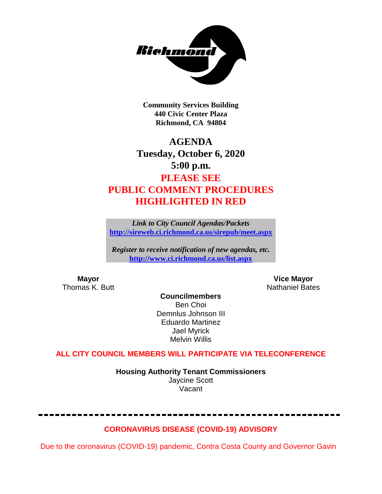

**Community Services Building 440 Civic Center Plaza Richmond, CA 94804**

**AGENDA Tuesday, October 6, 2020 5:00 p.m.**

# **PLEASE SEE PUBLIC COMMENT PROCEDURES HIGHLIGHTED IN RED**

*Link to City Council Agendas/Packets* **<http://sireweb.ci.richmond.ca.us/sirepub/meet.aspx>**

*Register to receive notification of new agendas, etc.* **<http://www.ci.richmond.ca.us/list.aspx>**

**Mayor Mayor Vice Mayor Vice Mayor Vice Mayor Vice Mayor Vice Mayor Vice Mayor Vice Mayor Vice Mayor Vice Mayor Vice Mayor Vice Mayor Vice Mayor Vice Mayor Vice Mayor Vice Mayor Vice Mayor Nathaniel Bates** 

**Councilmembers** Ben Choi Demnlus Johnson III Eduardo Martinez Jael Myrick Melvin Willis

# **ALL CITY COUNCIL MEMBERS WILL PARTICIPATE VIA TELECONFERENCE**

**Housing Authority Tenant Commissioners** Jaycine Scott Vacant

**CORONAVIRUS DISEASE (COVID-19) ADVISORY**

Due to the coronavirus (COVID-19) pandemic, Contra Costa County and Governor Gavin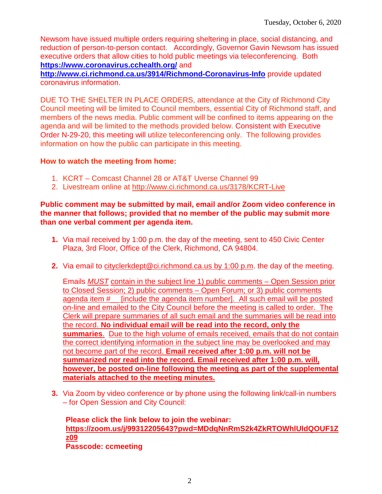Newsom have issued multiple orders requiring sheltering in place, social distancing, and reduction of person-to-person contact. Accordingly, Governor Gavin Newsom has issued executive orders that allow cities to hold public meetings via teleconferencing. Both **<https://www.coronavirus.cchealth.org/>** and

**<http://www.ci.richmond.ca.us/3914/Richmond-Coronavirus-Info>** provide updated coronavirus information.

DUE TO THE SHELTER IN PLACE ORDERS, attendance at the City of Richmond City Council meeting will be limited to Council members, essential City of Richmond staff, and members of the news media. Public comment will be confined to items appearing on the agenda and will be limited to the methods provided below. Consistent with Executive Order N-29-20, this meeting will utilize teleconferencing only. The following provides information on how the public can participate in this meeting.

## **How to watch the meeting from home:**

- 1. KCRT Comcast Channel 28 or AT&T Uverse Channel 99
- 2. Livestream online at<http://www.ci.richmond.ca.us/3178/KCRT-Live>

#### **Public comment may be submitted by mail, email and/or Zoom video conference in the manner that follows; provided that no member of the public may submit more than one verbal comment per agenda item.**

- **1.** Via mail received by 1:00 p.m. the day of the meeting, sent to 450 Civic Center Plaza, 3rd Floor, Office of the Clerk, Richmond, CA 94804.
- **2.** Via email to [cityclerkdept@ci.richmond.ca.us](mailto:cityclerkdept@ci.richmond.ca.us) by 1:00 p.m. the day of the meeting.

Emails *MUST* contain in the subject line 1) public comments – Open Session prior to Closed Session; 2) public comments – Open Forum; or 3) public comments agenda item #\_\_ [include the agenda item number]. All such email will be posted on-line and emailed to the City Council before the meeting is called to order. The Clerk will prepare summaries of all such email and the summaries will be read into the record. **No individual email will be read into the record, only the summaries**. Due to the high volume of emails received, emails that do not contain the correct identifying information in the subject line may be overlooked and may not become part of the record. **Email received after 1:00 p.m. will not be summarized nor read into the record. Email received after 1:00 p.m. will, however, be posted on-line following the meeting as part of the supplemental materials attached to the meeting minutes.**

**3.** Via Zoom by video conference or by phone using the following link/call-in numbers – for Open Session and City Council:

**Please click the link below to join the webinar: [https://zoom.us/j/99312205643?pwd=MDdqNnRmS2k4ZkRTOWhlUldQOUF1Z](https://zoom.us/j/99312205643?pwd=MDdqNnRmS2k4ZkRTOWhlUldQOUF1Zz09) [z09](https://zoom.us/j/99312205643?pwd=MDdqNnRmS2k4ZkRTOWhlUldQOUF1Zz09) Passcode: ccmeeting**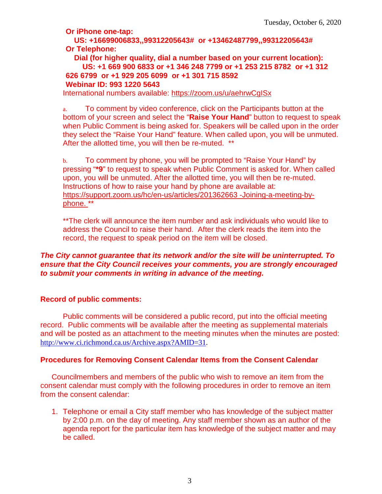**Or iPhone one-tap:**

**US: +16699006833,,99312205643# or +13462487799,,99312205643# Or Telephone:**

**Dial (for higher quality, dial a number based on your current location): US: +1 669 900 6833 or +1 346 248 7799 or +1 253 215 8782 or +1 312 626 6799 or +1 929 205 6099 or +1 301 715 8592 Webinar ID: 993 1220 5643**

International numbers available:<https://zoom.us/u/aehrwCgISx>

a. To comment by video conference, click on the Participants button at the bottom of your screen and select the "**Raise Your Hand**" button to request to speak when Public Comment is being asked for. Speakers will be called upon in the order they select the "Raise Your Hand" feature. When called upon, you will be unmuted. After the allotted time, you will then be re-muted. \*\*

b. To comment by phone, you will be prompted to "Raise Your Hand" by pressing "**\*9**" to request to speak when Public Comment is asked for. When called upon, you will be unmuted. After the allotted time, you will then be re-muted. Instructions of how to raise your hand by phone are available at: [https://support.zoom.us/hc/en-us/articles/201362663 -Joining-a-meeting-by](https://support.zoom.us/hc/en-us/articles/201362663)[phone.](https://support.zoom.us/hc/en-us/articles/201362663) \*\*

\*\*The clerk will announce the item number and ask individuals who would like to address the Council to raise their hand. After the clerk reads the item into the record, the request to speak period on the item will be closed.

#### *The City cannot guarantee that its network and/or the site will be uninterrupted. To ensure that the City Council receives your comments, you are strongly encouraged to submit your comments in writing in advance of the meeting.*

#### **Record of public comments:**

Public comments will be considered a public record, put into the official meeting record. Public comments will be available after the meeting as supplemental materials and will be posted as an attachment to the meeting minutes when the minutes are posted: [http://www.ci.richmond.ca.us/Archive.aspx?AMID=31.](http://www.ci.richmond.ca.us/Archive.aspx?AMID=31)

# **Procedures for Removing Consent Calendar Items from the Consent Calendar**

Councilmembers and members of the public who wish to remove an item from the consent calendar must comply with the following procedures in order to remove an item from the consent calendar:

1. Telephone or email a City staff member who has knowledge of the subject matter by 2:00 p.m. on the day of meeting. Any staff member shown as an author of the agenda report for the particular item has knowledge of the subject matter and may be called.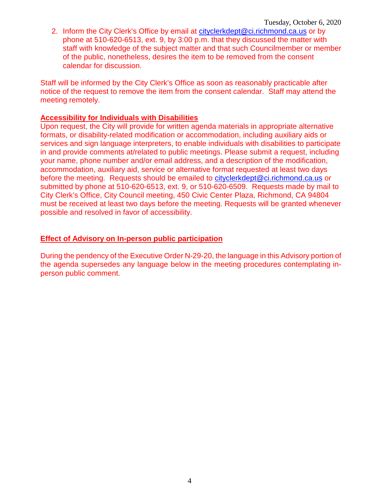2. Inform the City Clerk's Office by email at [cityclerkdept@ci.richmond.ca.us](mailto:cityclerkdept@ci.richmond.ca.us) or by phone at 510-620-6513, ext. 9, by 3:00 p.m. that they discussed the matter with staff with knowledge of the subject matter and that such Councilmember or member of the public, nonetheless, desires the item to be removed from the consent calendar for discussion.

Staff will be informed by the City Clerk's Office as soon as reasonably practicable after notice of the request to remove the item from the consent calendar. Staff may attend the meeting remotely.

## **Accessibility for Individuals with Disabilities**

Upon request, the City will provide for written agenda materials in appropriate alternative formats, or disability-related modification or accommodation, including auxiliary aids or services and sign language interpreters, to enable individuals with disabilities to participate in and provide comments at/related to public meetings. Please submit a request, including your name, phone number and/or email address, and a description of the modification, accommodation, auxiliary aid, service or alternative format requested at least two days before the meeting. Requests should be emailed to [cityclerkdept@ci.richmond.ca.us](mailto:cityclerkdept@ci.richmond.ca.us) or submitted by phone at 510-620-6513, ext. 9, or 510-620-6509. Requests made by mail to City Clerk's Office, City Council meeting, 450 Civic Center Plaza, Richmond, CA 94804 must be received at least two days before the meeting. Requests will be granted whenever possible and resolved in favor of accessibility.

## **Effect of Advisory on In-person public participation**

During the pendency of the Executive Order N-29-20, the language in this Advisory portion of the agenda supersedes any language below in the meeting procedures contemplating inperson public comment.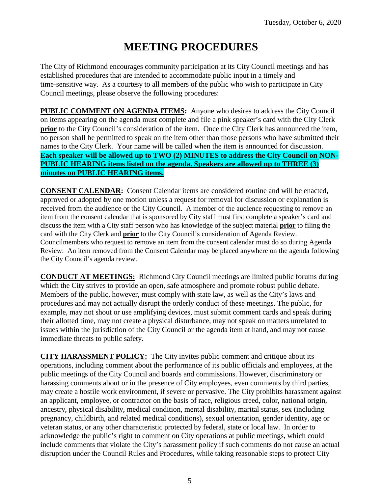# **MEETING PROCEDURES**

The City of Richmond encourages community participation at its City Council meetings and has established procedures that are intended to accommodate public input in a timely and time-sensitive way. As a courtesy to all members of the public who wish to participate in City Council meetings, please observe the following procedures:

**PUBLIC COMMENT ON AGENDA ITEMS:** Anyone who desires to address the City Council on items appearing on the agenda must complete and file a pink speaker's card with the City Clerk **prior** to the City Council's consideration of the item. Once the City Clerk has announced the item, no person shall be permitted to speak on the item other than those persons who have submitted their names to the City Clerk. Your name will be called when the item is announced for discussion. **Each speaker will be allowed up to TWO (2) MINUTES to address the City Council on NON-PUBLIC HEARING items listed on the agenda. Speakers are allowed up to THREE (3) minutes on PUBLIC HEARING items.**

**CONSENT CALENDAR:** Consent Calendar items are considered routine and will be enacted, approved or adopted by one motion unless a request for removal for discussion or explanation is received from the audience or the City Council. A member of the audience requesting to remove an item from the consent calendar that is sponsored by City staff must first complete a speaker's card and discuss the item with a City staff person who has knowledge of the subject material **prior** to filing the card with the City Clerk and **prior** to the City Council's consideration of Agenda Review. Councilmembers who request to remove an item from the consent calendar must do so during Agenda Review. An item removed from the Consent Calendar may be placed anywhere on the agenda following the City Council's agenda review.

**CONDUCT AT MEETINGS:** Richmond City Council meetings are limited public forums during which the City strives to provide an open, safe atmosphere and promote robust public debate. Members of the public, however, must comply with state law, as well as the City's laws and procedures and may not actually disrupt the orderly conduct of these meetings. The public, for example, may not shout or use amplifying devices, must submit comment cards and speak during their allotted time, may not create a physical disturbance, may not speak on matters unrelated to issues within the jurisdiction of the City Council or the agenda item at hand, and may not cause immediate threats to public safety.

**CITY HARASSMENT POLICY:** The City invites public comment and critique about its operations, including comment about the performance of its public officials and employees, at the public meetings of the City Council and boards and commissions. However, discriminatory or harassing comments about or in the presence of City employees, even comments by third parties, may create a hostile work environment, if severe or pervasive. The City prohibits harassment against an applicant, employee, or contractor on the basis of race, religious creed, color, national origin, ancestry, physical disability, medical condition, mental disability, marital status, sex (including pregnancy, childbirth, and related medical conditions), sexual orientation, gender identity, age or veteran status, or any other characteristic protected by federal, state or local law. In order to acknowledge the public's right to comment on City operations at public meetings, which could include comments that violate the City's harassment policy if such comments do not cause an actual disruption under the Council Rules and Procedures, while taking reasonable steps to protect City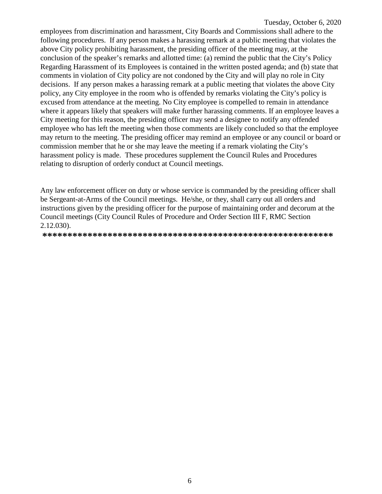employees from discrimination and harassment, City Boards and Commissions shall adhere to the following procedures. If any person makes a harassing remark at a public meeting that violates the above City policy prohibiting harassment, the presiding officer of the meeting may, at the conclusion of the speaker's remarks and allotted time: (a) remind the public that the City's Policy Regarding Harassment of its Employees is contained in the written posted agenda; and (b) state that comments in violation of City policy are not condoned by the City and will play no role in City decisions. If any person makes a harassing remark at a public meeting that violates the above City policy, any City employee in the room who is offended by remarks violating the City's policy is excused from attendance at the meeting. No City employee is compelled to remain in attendance where it appears likely that speakers will make further harassing comments. If an employee leaves a City meeting for this reason, the presiding officer may send a designee to notify any offended employee who has left the meeting when those comments are likely concluded so that the employee may return to the meeting. The presiding officer may remind an employee or any council or board or commission member that he or she may leave the meeting if a remark violating the City's harassment policy is made. These procedures supplement the Council Rules and Procedures relating to disruption of orderly conduct at Council meetings.

Any law enforcement officer on duty or whose service is commanded by the presiding officer shall be Sergeant-at-Arms of the Council meetings. He/she, or they, shall carry out all orders and instructions given by the presiding officer for the purpose of maintaining order and decorum at the Council meetings (City Council Rules of Procedure and Order Section III F, RMC Section 2.12.030).

**\*\*\*\*\*\*\*\*\*\*\*\*\*\*\*\*\*\*\*\*\*\*\*\*\*\*\*\*\*\*\*\*\*\*\*\*\*\*\*\*\*\*\*\*\*\*\*\*\*\*\*\*\*\*\*\*\*\***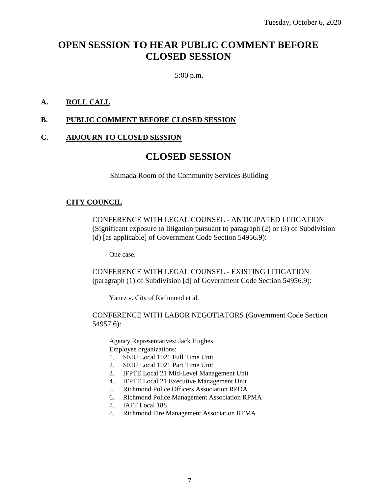# **OPEN SESSION TO HEAR PUBLIC COMMENT BEFORE CLOSED SESSION**

5:00 p.m.

# **A. ROLL CALL**

#### **B. PUBLIC COMMENT BEFORE CLOSED SESSION**

#### **C. ADJOURN TO CLOSED SESSION**

# **CLOSED SESSION**

Shimada Room of the Community Services Building

#### **CITY COUNCIL**

CONFERENCE WITH LEGAL COUNSEL - ANTICIPATED LITIGATION (Significant exposure to litigation pursuant to paragraph (2) or (3) of Subdivision (d) [as applicable] of Government Code Section 54956.9):

One case.

CONFERENCE WITH LEGAL COUNSEL - EXISTING LITIGATION (paragraph (1) of Subdivision [d] of Government Code Section 54956.9):

Yanez v. City of Richmond et al.

CONFERENCE WITH LABOR NEGOTIATORS (Government Code Section 54957.6):

Agency Representatives: Jack Hughes Employee organizations:

- 1. SEIU Local 1021 Full Time Unit
- 2. SEIU Local 1021 Part Time Unit
- 3. IFPTE Local 21 Mid-Level Management Unit
- 4. IFPTE Local 21 Executive Management Unit
- 5. Richmond Police Officers Association RPOA
- 6. Richmond Police Management Association RPMA
- 7. IAFF Local 188
- 8. Richmond Fire Management Association RFMA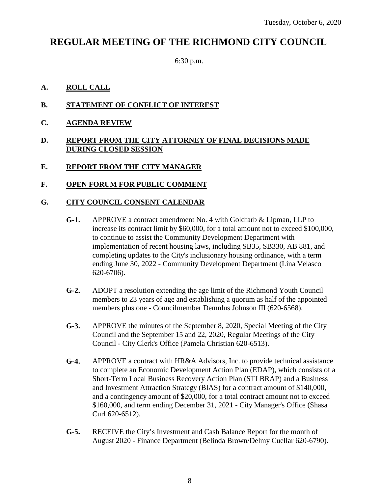# **REGULAR MEETING OF THE RICHMOND CITY COUNCIL**

6:30 p.m.

## **A. ROLL CALL**

- **B. STATEMENT OF CONFLICT OF INTEREST**
- **C. AGENDA REVIEW**

#### **D. REPORT FROM THE CITY ATTORNEY OF FINAL DECISIONS MADE DURING CLOSED SESSION**

- **E. REPORT FROM THE CITY MANAGER**
- **F. OPEN FORUM FOR PUBLIC COMMENT**

## **G. CITY COUNCIL CONSENT CALENDAR**

- **G-1.** APPROVE a contract amendment No. 4 with Goldfarb & Lipman, LLP to increase its contract limit by \$60,000, for a total amount not to exceed \$100,000, to continue to assist the Community Development Department with implementation of recent housing laws, including SB35, SB330, AB 881, and completing updates to the City's inclusionary housing ordinance, with a term ending June 30, 2022 - Community Development Department (Lina Velasco 620-6706).
- **G-2.** ADOPT a resolution extending the age limit of the Richmond Youth Council members to 23 years of age and establishing a quorum as half of the appointed members plus one - Councilmember Demnlus Johnson III (620-6568).
- **G-3.** APPROVE the minutes of the September 8, 2020, Special Meeting of the City Council and the September 15 and 22, 2020, Regular Meetings of the City Council - City Clerk's Office (Pamela Christian 620-6513).
- **G-4.** APPROVE a contract with HR&A Advisors, Inc. to provide technical assistance to complete an Economic Development Action Plan (EDAP), which consists of a Short-Term Local Business Recovery Action Plan (STLBRAP) and a Business and Investment Attraction Strategy (BIAS) for a contract amount of \$140,000, and a contingency amount of \$20,000, for a total contract amount not to exceed \$160,000, and term ending December 31, 2021 - City Manager's Office (Shasa Curl 620-6512).
- **G-5.** RECEIVE the City's Investment and Cash Balance Report for the month of August 2020 - Finance Department (Belinda Brown/Delmy Cuellar 620-6790).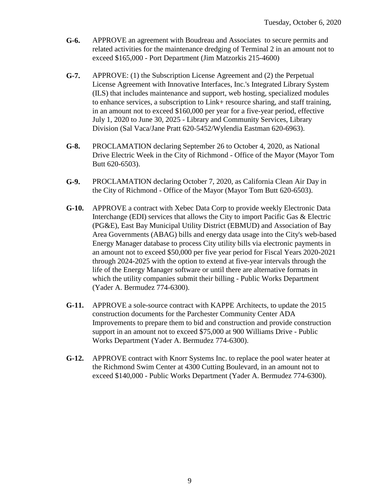- **G-6.** APPROVE an agreement with Boudreau and Associates to secure permits and related activities for the maintenance dredging of Terminal 2 in an amount not to exceed \$165,000 - Port Department (Jim Matzorkis 215-4600)
- **G-7.** APPROVE: (1) the Subscription License Agreement and (2) the Perpetual License Agreement with Innovative Interfaces, Inc.'s Integrated Library System (ILS) that includes maintenance and support, web hosting, specialized modules to enhance services, a subscription to Link+ resource sharing, and staff training, in an amount not to exceed \$160,000 per year for a five-year period, effective July 1, 2020 to June 30, 2025 - Library and Community Services, Library Division (Sal Vaca/Jane Pratt 620-5452/Wylendia Eastman 620-6963).
- **G-8.** PROCLAMATION declaring September 26 to October 4, 2020, as National Drive Electric Week in the City of Richmond - Office of the Mayor (Mayor Tom Butt 620-6503).
- **G-9.** PROCLAMATION declaring October 7, 2020, as California Clean Air Day in the City of Richmond - Office of the Mayor (Mayor Tom Butt 620-6503).
- **G-10.** APPROVE a contract with Xebec Data Corp to provide weekly Electronic Data Interchange (EDI) services that allows the City to import Pacific Gas & Electric (PG&E), East Bay Municipal Utility District (EBMUD) and Association of Bay Area Governments (ABAG) bills and energy data usage into the City's web-based Energy Manager database to process City utility bills via electronic payments in an amount not to exceed \$50,000 per five year period for Fiscal Years 2020-2021 through 2024-2025 with the option to extend at five-year intervals through the life of the Energy Manager software or until there are alternative formats in which the utility companies submit their billing - Public Works Department (Yader A. Bermudez 774-6300).
- **G-11.** APPROVE a sole-source contract with KAPPE Architects, to update the 2015 construction documents for the Parchester Community Center ADA Improvements to prepare them to bid and construction and provide construction support in an amount not to exceed \$75,000 at 900 Williams Drive - Public Works Department (Yader A. Bermudez 774-6300).
- **G-12.** APPROVE contract with Knorr Systems Inc. to replace the pool water heater at the Richmond Swim Center at 4300 Cutting Boulevard, in an amount not to exceed \$140,000 - Public Works Department (Yader A. Bermudez 774-6300).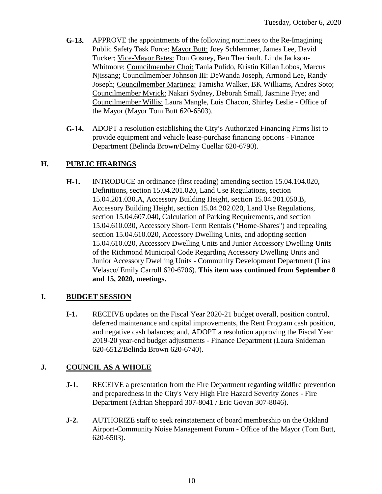- **G-13.** APPROVE the appointments of the following nominees to the Re-Imagining Public Safety Task Force: Mayor Butt: Joey Schlemmer, James Lee, David Tucker; Vice-Mayor Bates: Don Gosney, Ben Therriault, Linda Jackson-Whitmore; Councilmember Choi: Tania Pulido, Kristin Kilian Lobos, Marcus Njissang; Councilmember Johnson III: DeWanda Joseph, Armond Lee, Randy Joseph; Councilmember Martinez: Tamisha Walker, BK Williams, Andres Soto; Councilmember Myrick: Nakari Sydney, Deborah Small, Jasmine Frye; and Councilmember Willis: Laura Mangle, Luis Chacon, Shirley Leslie - Office of the Mayor (Mayor Tom Butt 620-6503).
- **G-14.** ADOPT a resolution establishing the City's Authorized Financing Firms list to provide equipment and vehicle lease-purchase financing options - Finance Department (Belinda Brown/Delmy Cuellar 620-6790).

# **H. PUBLIC HEARINGS**

**H-1.** INTRODUCE an ordinance (first reading) amending section 15.04.104.020, Definitions, section 15.04.201.020, Land Use Regulations, section 15.04.201.030.A, Accessory Building Height, section 15.04.201.050.B, Accessory Building Height, section 15.04.202.020, Land Use Regulations, section 15.04.607.040, Calculation of Parking Requirements, and section 15.04.610.030, Accessory Short-Term Rentals ("Home-Shares") and repealing section 15.04.610.020, Accessory Dwelling Units, and adopting section 15.04.610.020, Accessory Dwelling Units and Junior Accessory Dwelling Units of the Richmond Municipal Code Regarding Accessory Dwelling Units and Junior Accessory Dwelling Units - Community Development Department (Lina Velasco/ Emily Carroll 620-6706). **This item was continued from September 8 and 15, 2020, meetings.**

# **I. BUDGET SESSION**

**I-1.** RECEIVE updates on the Fiscal Year 2020-21 budget overall, position control, deferred maintenance and capital improvements, the Rent Program cash position, and negative cash balances; and, ADOPT a resolution approving the Fiscal Year 2019-20 year-end budget adjustments - Finance Department (Laura Snideman 620-6512/Belinda Brown 620-6740).

# **J. COUNCIL AS A WHOLE**

- **J-1.** RECEIVE a presentation from the Fire Department regarding wildfire prevention and preparedness in the City's Very High Fire Hazard Severity Zones - Fire Department (Adrian Sheppard 307-8041 / Eric Govan 307-8046).
- **J-2.** AUTHORIZE staff to seek reinstatement of board membership on the Oakland Airport-Community Noise Management Forum - Office of the Mayor (Tom Butt, 620-6503).